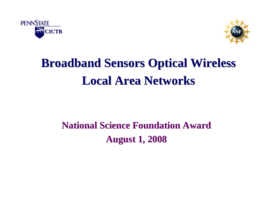



# **Broadband Sensors Optical Wireless Broadband Sensors Optical Wireless Local Area Networks Local Area Networks**

## **National Science Foundation Award National Science Foundation AwardAugust 1, 2008 August 1, 2008**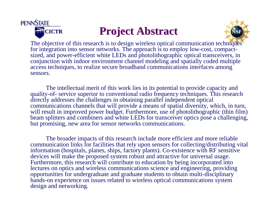

### **Project Abstract Project Abstract**



The objective of this research is to design wireless optical communication techniques for integration into sensor networks. The approach is to employ low-cost, compactsized, and power-efficient white LEDs and photolithographic optical transceivers, in conjunction with indoor environment channel modeling and spatially coded multiple access techniques, to realize secure broadband communications interfaces among sensors.

The intellectual merit of this work lies in its potential to provide capacity and quality-of- service superior to conventional radio frequency techniques. This research directly addresses the challenges in obtaining parallel independent optical communications channels that will provide a means of spatial diversity, which, in turn, will result in improved power budget. Furthermore, use of photolithographic (thin film) beam splitters and combiners and white LEDs for transceiver optics pose a challenging, but promising, new area for sensor networks communications.

The broader impacts of this research include more efficient and more reliable communication links for facilities that rely upon sensors for collecting/distributing vital information (hospitals, planes, ships, factory plants). Co-existence with RF sensitive devices will make the proposed system robust and attractive for universal usage. Furthermore, this research will contribute to education by being incorporated into lectures on optics and wireless communications science and engineering, providing opportunities for undergraduate and graduate students to obtain multi-disciplinary hands-on experience on issues related to wireless optical communications system design and networking.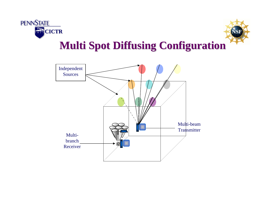



#### **Multi Spot Diffusing Configuration Multi Spot Diffusing Configuration**

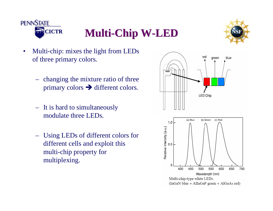



- Multi-chip: mixes the light from LEDs of three primary colors.
	- changing the mixture ratio of three primary colors  $\rightarrow$  different colors.
	- It is hard to simultaneously modulate three LEDs.
	- Using LEDs of different colors for different cells and exploit this multi-chip property for multiplexing.

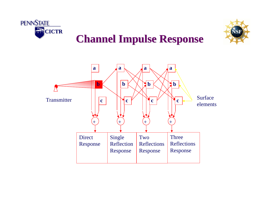



#### **Channel Impulse Response Channel Impulse Response**

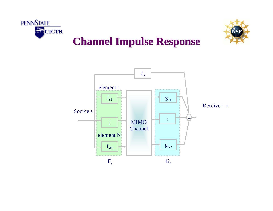



#### **Channel Impulse Response Channel Impulse Response**

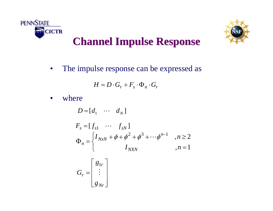



## **Channel Impulse Response Channel Impulse Response**

• The impulse response can be expressed as

$$
H = D \cdot G_r + F_s \cdot \Phi_n \cdot G_r
$$

• where

$$
D = [d_1 \cdots d_N]
$$
  
\n
$$
F_s = [f_{s1} \cdots f_{sN}]
$$
  
\n
$$
\Phi_n = \begin{cases} I_{NxN} + \phi + \phi^2 + \phi^3 + \cdots + \phi^{n-1} & , n \ge 2 \\ I_{NXN} & , n = 1 \end{cases}
$$
  
\n
$$
G_r = \begin{bmatrix} g_{1r} \\ \vdots \\ g_{Nr} \end{bmatrix}
$$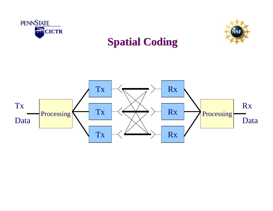



#### **Spatial Coding Spatial Coding**

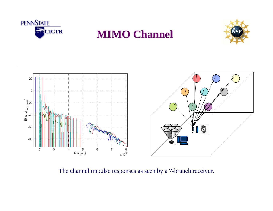









The channel impulse responses as seen by a 7-branch receiver.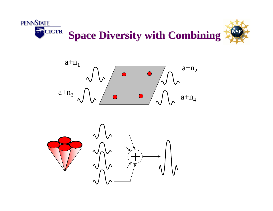